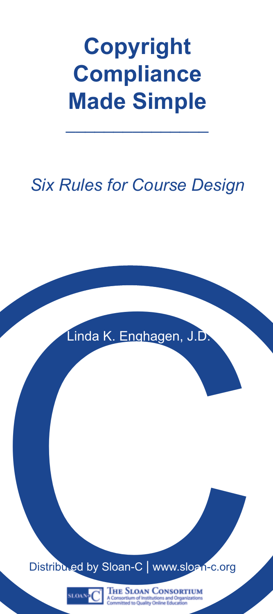# **Copyright Compliance Made Simple** \_\_\_\_\_\_\_\_\_\_\_\_\_\_\_

## *Six Rules for Course Design*

Linda K. Enghagen, J.D.

Linda K. Enghagen, J.D.<br>Distributed by Sloan-C | www.sloan-c.org<br>Nov. C | The Stow Conservation

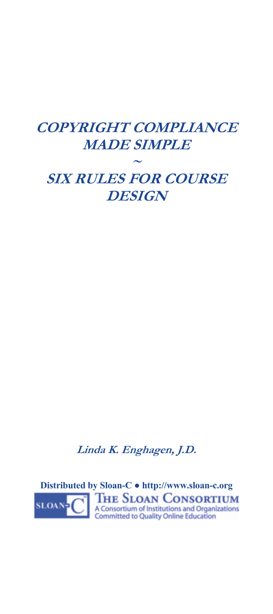### **COPYRIGHT COMPLIANCE MADE SIMPLE ~ SIX RULES FOR COURSE DESIGN**

**Linda K. Enghagen, J.D.** 

**Distributed by Sloan-C ● http://www.sloan-c.org<br>
<b>BLOAN - C** A Consortium of Institutions and Organizations<br>
Committed to Quality Online Education **SLOAN**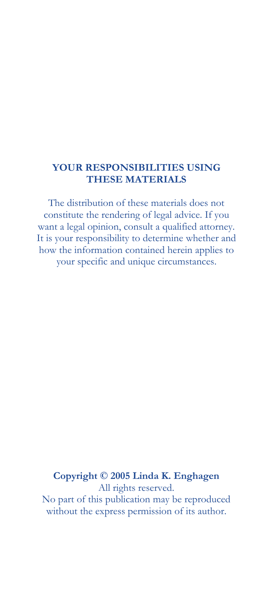#### **YOUR RESPONSIBILITIES USING THESE MATERIALS**

The distribution of these materials does not constitute the rendering of legal advice. If you want a legal opinion, consult a qualified attorney. It is your responsibility to determine whether and how the information contained herein applies to your specific and unique circumstances.

#### **Copyright © 2005 Linda K. Enghagen**  All rights reserved.

No part of this publication may be reproduced without the express permission of its author.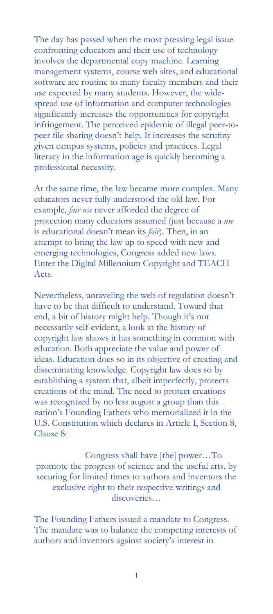The day has passed when the most pressing legal issue confronting educators and their use of technology involves the departmental copy machine. Learning management systems, course web sites, and educational software are routine to many faculty members and their use expected by many students. However, the widespread use of information and computer technologies significantly increases the opportunities for copyright infringement. The perceived epidemic of illegal peer-topeer file sharing doesn't help. It increases the scrutiny given campus systems, policies and practices. Legal literacy in the information age is quickly becoming a professional necessity.

At the same time, the law became more complex. Many educators never fully understood the old law. For example, *fair use* never afforded the degree of protection many educators assumed (just because a *use* is educational doesn't mean its *fair*). Then, in an attempt to bring the law up to speed with new and emerging technologies, Congress added new laws. Enter the Digital Millennium Copyright and TEACH Acts.

Nevertheless, unraveling the web of regulation doesn't have to be that difficult to understand. Toward that end, a bit of history might help. Though it's not necessarily self-evident, a look at the history of copyright law shows it has something in common with education. Both appreciate the value and power of ideas. Education does so in its objective of creating and disseminating knowledge. Copyright law does so by establishing a system that, albeit imperfectly, protects creations of the mind. The need to protect creations was recognized by no less august a group than this nation's Founding Fathers who memorialized it in the U.S. Constitution which declares in Article I, Section 8, Clause 8:

Congress shall have [the] power…To promote the progress of science and the useful arts, by securing for limited times to authors and inventors the exclusive right to their respective writings and discoveries…

The Founding Fathers issued a mandate to Congress. The mandate was to balance the competing interests of authors and inventors against society's interest in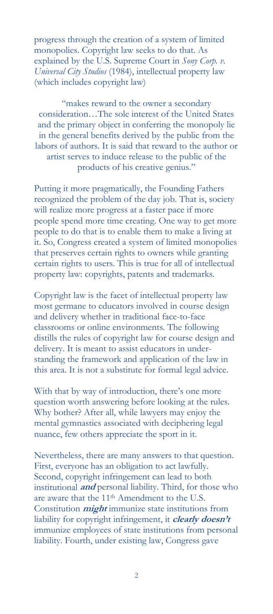progress through the creation of a system of limited monopolies. Copyright law seeks to do that. As explained by the U.S. Supreme Court in *Sony Corp. v. Universal City Studios* (1984), intellectual property law (which includes copyright law)

"makes reward to the owner a secondary consideration…The sole interest of the United States and the primary object in conferring the monopoly lie in the general benefits derived by the public from the labors of authors. It is said that reward to the author or artist serves to induce release to the public of the products of his creative genius."

Putting it more pragmatically, the Founding Fathers recognized the problem of the day job. That is, society will realize more progress at a faster pace if more people spend more time creating. One way to get more people to do that is to enable them to make a living at it. So, Congress created a system of limited monopolies that preserves certain rights to owners while granting certain rights to users. This is true for all of intellectual property law: copyrights, patents and trademarks.

Copyright law is the facet of intellectual property law most germane to educators involved in course design and delivery whether in traditional face-to-face classrooms or online environments. The following distills the rules of copyright law for course design and delivery. It is meant to assist educators in understanding the framework and application of the law in this area. It is not a substitute for formal legal advice.

With that by way of introduction, there's one more question worth answering before looking at the rules. Why bother? After all, while lawyers may enjoy the mental gymnastics associated with deciphering legal nuance, few others appreciate the sport in it.

Nevertheless, there are many answers to that question. First, everyone has an obligation to act lawfully. Second, copyright infringement can lead to both institutional **and** personal liability. Third, for those who are aware that the 11<sup>th</sup> Amendment to the U.S. Constitution **might** immunize state institutions from liability for copyright infringement, it **clearly doesn't** immunize employees of state institutions from personal liability. Fourth, under existing law, Congress gave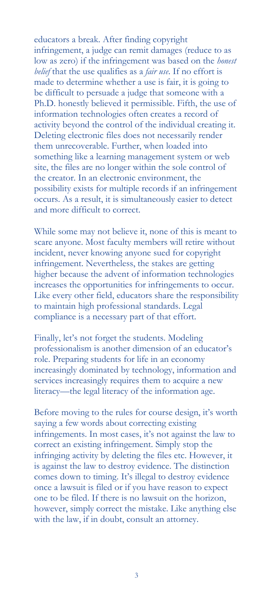educators a break. After finding copyright infringement, a judge can remit damages (reduce to as low as zero) if the infringement was based on the *honest belief* that the use qualifies as a *fair use*. If no effort is made to determine whether a use is fair, it is going to be difficult to persuade a judge that someone with a Ph.D. honestly believed it permissible. Fifth, the use of information technologies often creates a record of activity beyond the control of the individual creating it. Deleting electronic files does not necessarily render them unrecoverable. Further, when loaded into something like a learning management system or web site, the files are no longer within the sole control of the creator. In an electronic environment, the possibility exists for multiple records if an infringement occurs. As a result, it is simultaneously easier to detect and more difficult to correct.

While some may not believe it, none of this is meant to scare anyone. Most faculty members will retire without incident, never knowing anyone sued for copyright infringement. Nevertheless, the stakes are getting higher because the advent of information technologies increases the opportunities for infringements to occur. Like every other field, educators share the responsibility to maintain high professional standards. Legal compliance is a necessary part of that effort.

Finally, let's not forget the students. Modeling professionalism is another dimension of an educator's role. Preparing students for life in an economy increasingly dominated by technology, information and services increasingly requires them to acquire a new literacy—the legal literacy of the information age.

Before moving to the rules for course design, it's worth saying a few words about correcting existing infringements. In most cases, it's not against the law to correct an existing infringement. Simply stop the infringing activity by deleting the files etc. However, it is against the law to destroy evidence. The distinction comes down to timing. It's illegal to destroy evidence once a lawsuit is filed or if you have reason to expect one to be filed. If there is no lawsuit on the horizon, however, simply correct the mistake. Like anything else with the law, if in doubt, consult an attorney.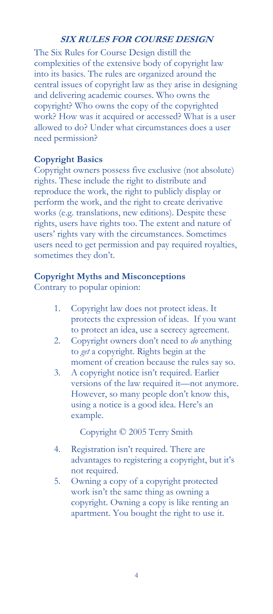#### **SIX RULES FOR COURSE DESIGN**

The Six Rules for Course Design distill the complexities of the extensive body of copyright law into its basics. The rules are organized around the central issues of copyright law as they arise in designing and delivering academic courses. Who owns the copyright? Who owns the copy of the copyrighted work? How was it acquired or accessed? What is a user allowed to do? Under what circumstances does a user need permission?

#### **Copyright Basics**

Copyright owners possess five exclusive (not absolute) rights. These include the right to distribute and reproduce the work, the right to publicly display or perform the work, and the right to create derivative works (e.g. translations, new editions). Despite these rights, users have rights too. The extent and nature of users' rights vary with the circumstances. Sometimes users need to get permission and pay required royalties, sometimes they don't.

#### **Copyright Myths and Misconceptions**

Contrary to popular opinion:

- 1. Copyright law does not protect ideas. It protects the expression of ideas. If you want to protect an idea, use a secrecy agreement.
- 2. Copyright owners don't need to *do* anything to *get* a copyright. Rights begin at the moment of creation because the rules say so.
- 3. A copyright notice isn't required. Earlier versions of the law required it—not anymore. However, so many people don't know this, using a notice is a good idea. Here's an example.

Copyright © 2005 Terry Smith

- 4. Registration isn't required. There are advantages to registering a copyright, but it's not required.
- 5. Owning a copy of a copyright protected work isn't the same thing as owning a copyright. Owning a copy is like renting an apartment. You bought the right to use it.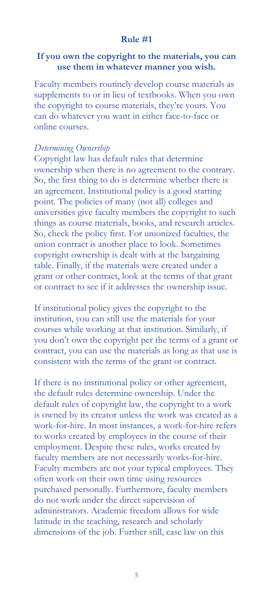#### **Rule #1**

#### **If you own the copyright to the materials, you can use them in whatever manner you wish.**

Faculty members routinely develop course materials as supplements to or in lieu of textbooks. When you own the copyright to course materials, they're yours. You can do whatever you want in either face-to-face or online courses.

#### *Determining Ownership*

Copyright law has default rules that determine ownership when there is no agreement to the contrary. So, the first thing to do is determine whether there is an agreement. Institutional policy is a good starting point. The policies of many (not all) colleges and universities give faculty members the copyright to such things as course materials, books, and research articles. So, check the policy first. For unionized faculties, the union contract is another place to look. Sometimes copyright ownership is dealt with at the bargaining table. Finally, if the materials were created under a grant or other contract, look at the terms of that grant or contract to see if it addresses the ownership issue.

If institutional policy gives the copyright to the institution, you can still use the materials for your courses while working at that institution. Similarly, if you don't own the copyright per the terms of a grant or contract, you can use the materials as long as that use is consistent with the terms of the grant or contract.

If there is no institutional policy or other agreement, the default rules determine ownership. Under the default rules of copyright law, the copyright to a work is owned by its creator unless the work was created as a work-for-hire. In most instances, a work-for-hire refers to works created by employees in the course of their employment. Despite these rules, works created by faculty members are not necessarily works-for-hire. Faculty members are not your typical employees. They often work on their own time using resources purchased personally. Furthermore, faculty members do not work under the direct supervision of administrators. Academic freedom allows for wide latitude in the teaching, research and scholarly dimensions of the job. Further still, case law on this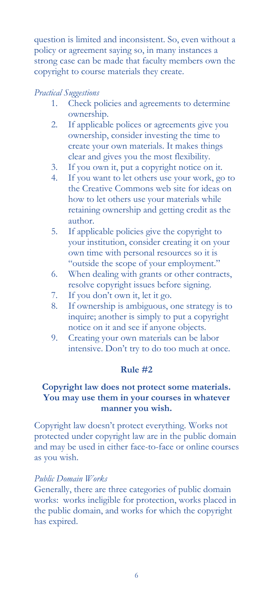question is limited and inconsistent. So, even without a policy or agreement saying so, in many instances a strong case can be made that faculty members own the copyright to course materials they create.

#### *Practical Suggestions*

- 1. Check policies and agreements to determine ownership.
- 2. If applicable polices or agreements give you ownership, consider investing the time to create your own materials. It makes things clear and gives you the most flexibility.
- 3. If you own it, put a copyright notice on it.
- 4. If you want to let others use your work, go to the Creative Commons web site for ideas on how to let others use your materials while retaining ownership and getting credit as the author.
- 5. If applicable policies give the copyright to your institution, consider creating it on your own time with personal resources so it is "outside the scope of your employment."
- 6. When dealing with grants or other contracts, resolve copyright issues before signing.
- 7. If you don't own it, let it go.
- 8. If ownership is ambiguous, one strategy is to inquire; another is simply to put a copyright notice on it and see if anyone objects.
- 9. Creating your own materials can be labor intensive. Don't try to do too much at once.

#### **Rule #2**

#### **Copyright law does not protect some materials. You may use them in your courses in whatever manner you wish.**

Copyright law doesn't protect everything. Works not protected under copyright law are in the public domain and may be used in either face-to-face or online courses as you wish.

#### *Public Domain Works*

Generally, there are three categories of public domain works: works ineligible for protection, works placed in the public domain, and works for which the copyright has expired.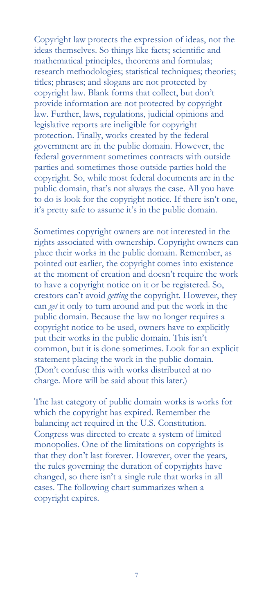Copyright law protects the expression of ideas, not the ideas themselves. So things like facts; scientific and mathematical principles, theorems and formulas; research methodologies; statistical techniques; theories; titles; phrases; and slogans are not protected by copyright law. Blank forms that collect, but don't provide information are not protected by copyright law. Further, laws, regulations, judicial opinions and legislative reports are ineligible for copyright protection. Finally, works created by the federal government are in the public domain. However, the federal government sometimes contracts with outside parties and sometimes those outside parties hold the copyright. So, while most federal documents are in the public domain, that's not always the case. All you have to do is look for the copyright notice. If there isn't one, it's pretty safe to assume it's in the public domain.

Sometimes copyright owners are not interested in the rights associated with ownership. Copyright owners can place their works in the public domain. Remember, as pointed out earlier, the copyright comes into existence at the moment of creation and doesn't require the work to have a copyright notice on it or be registered. So, creators can't avoid *getting* the copyright. However, they can *get* it only to turn around and put the work in the public domain. Because the law no longer requires a copyright notice to be used, owners have to explicitly put their works in the public domain. This isn't common, but it is done sometimes. Look for an explicit statement placing the work in the public domain. (Don't confuse this with works distributed at no charge. More will be said about this later.)

The last category of public domain works is works for which the copyright has expired. Remember the balancing act required in the U.S. Constitution. Congress was directed to create a system of limited monopolies. One of the limitations on copyrights is that they don't last forever. However, over the years, the rules governing the duration of copyrights have changed, so there isn't a single rule that works in all cases. The following chart summarizes when a copyright expires.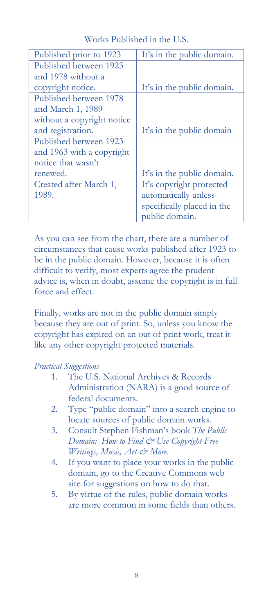| Published prior to 1923    | It's in the public domain. |
|----------------------------|----------------------------|
| Published between 1923     |                            |
| and 1978 without a         |                            |
| copyright notice.          | It's in the public domain. |
| Published between 1978     |                            |
| and March 1, 1989          |                            |
| without a copyright notice |                            |
| and registration.          | It's in the public domain  |
| Published between 1923     |                            |
| and 1963 with a copyright  |                            |
| notice that wasn't         |                            |
| renewed.                   | It's in the public domain. |
| Created after March 1,     | It's copyright protected   |
| 1989.                      | automatically unless       |
|                            | specifically placed in the |
|                            | public domain.             |

Works Published in the U.S.

As you can see from the chart, there are a number of circumstances that cause works published after 1923 to be in the public domain. However, because it is often difficult to verify, most experts agree the prudent advice is, when in doubt, assume the copyright is in full force and effect.

Finally, works are not in the public domain simply because they are out of print. So, unless you know the copyright has expired on an out of print work, treat it like any other copyright protected materials.

#### *Practical Suggestions*

- 1. The U.S. National Archives & Records Administration (NARA) is a good source of federal documents.
- 2. Type "public domain" into a search engine to locate sources of public domain works.
- 3. Consult Stephen Fishman's book *The Public Domain: How to Find & Use Copyright-Free Writings, Music, Art & More*.
- 4. If you want to place your works in the public domain, go to the Creative Commons web site for suggestions on how to do that.
- 5. By virtue of the rules, public domain works are more common in some fields than others.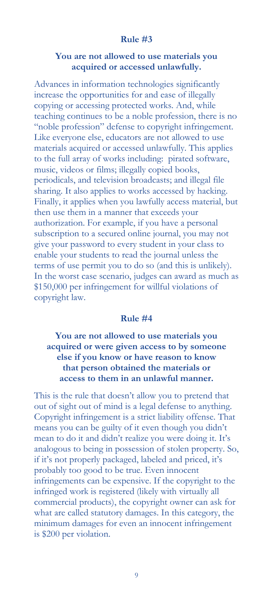#### **Rule #3**

#### **You are not allowed to use materials you acquired or accessed unlawfully.**

Advances in information technologies significantly increase the opportunities for and ease of illegally copying or accessing protected works. And, while teaching continues to be a noble profession, there is no "noble profession" defense to copyright infringement. Like everyone else, educators are not allowed to use materials acquired or accessed unlawfully. This applies to the full array of works including: pirated software, music, videos or films; illegally copied books, periodicals, and television broadcasts; and illegal file sharing. It also applies to works accessed by hacking. Finally, it applies when you lawfully access material, but then use them in a manner that exceeds your authorization. For example, if you have a personal subscription to a secured online journal, you may not give your password to every student in your class to enable your students to read the journal unless the terms of use permit you to do so (and this is unlikely). In the worst case scenario, judges can award as much as \$150,000 per infringement for willful violations of copyright law.

#### **Rule #4**

#### **You are not allowed to use materials you acquired or were given access to by someone else if you know or have reason to know that person obtained the materials or access to them in an unlawful manner.**

This is the rule that doesn't allow you to pretend that out of sight out of mind is a legal defense to anything. Copyright infringement is a strict liability offense. That means you can be guilty of it even though you didn't mean to do it and didn't realize you were doing it. It's analogous to being in possession of stolen property. So, if it's not properly packaged, labeled and priced, it's probably too good to be true. Even innocent infringements can be expensive. If the copyright to the infringed work is registered (likely with virtually all commercial products), the copyright owner can ask for what are called statutory damages. In this category, the minimum damages for even an innocent infringement is \$200 per violation.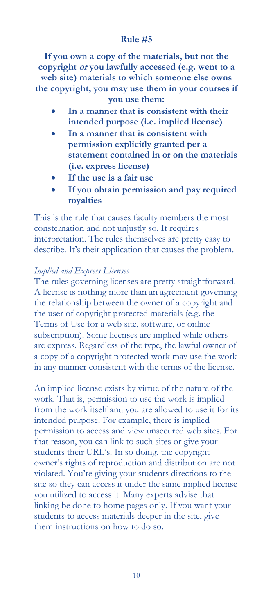#### **Rule #5**

**If you own a copy of the materials, but not the copyright or you lawfully accessed (e.g. went to a web site) materials to which someone else owns the copyright, you may use them in your courses if you use them:** 

- **In a manner that is consistent with their intended purpose (i.e. implied license)**
- **In a manner that is consistent with permission explicitly granted per a statement contained in or on the materials (i.e. express license)**
- **If the use is a fair use**
- **If you obtain permission and pay required royalties**

This is the rule that causes faculty members the most consternation and not unjustly so. It requires interpretation. The rules themselves are pretty easy to describe. It's their application that causes the problem.

#### *Implied and Express Licenses*

The rules governing licenses are pretty straightforward. A license is nothing more than an agreement governing the relationship between the owner of a copyright and the user of copyright protected materials (e.g. the Terms of Use for a web site, software, or online subscription). Some licenses are implied while others are express. Regardless of the type, the lawful owner of a copy of a copyright protected work may use the work in any manner consistent with the terms of the license.

An implied license exists by virtue of the nature of the work. That is, permission to use the work is implied from the work itself and you are allowed to use it for its intended purpose. For example, there is implied permission to access and view unsecured web sites. For that reason, you can link to such sites or give your students their URL's. In so doing, the copyright owner's rights of reproduction and distribution are not violated. You're giving your students directions to the site so they can access it under the same implied license you utilized to access it. Many experts advise that linking be done to home pages only. If you want your students to access materials deeper in the site, give them instructions on how to do so.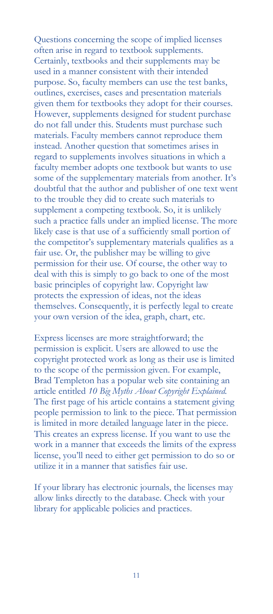Questions concerning the scope of implied licenses often arise in regard to textbook supplements. Certainly, textbooks and their supplements may be used in a manner consistent with their intended purpose. So, faculty members can use the test banks, outlines, exercises, cases and presentation materials given them for textbooks they adopt for their courses. However, supplements designed for student purchase do not fall under this. Students must purchase such materials. Faculty members cannot reproduce them instead. Another question that sometimes arises in regard to supplements involves situations in which a faculty member adopts one textbook but wants to use some of the supplementary materials from another. It's doubtful that the author and publisher of one text went to the trouble they did to create such materials to supplement a competing textbook. So, it is unlikely such a practice falls under an implied license. The more likely case is that use of a sufficiently small portion of the competitor's supplementary materials qualifies as a fair use. Or, the publisher may be willing to give permission for their use. Of course, the other way to deal with this is simply to go back to one of the most basic principles of copyright law. Copyright law protects the expression of ideas, not the ideas themselves. Consequently, it is perfectly legal to create your own version of the idea, graph, chart, etc.

Express licenses are more straightforward; the permission is explicit. Users are allowed to use the copyright protected work as long as their use is limited to the scope of the permission given. For example, Brad Templeton has a popular web site containing an article entitled *10 Big Myths About Copyright Explained.* The first page of his article contains a statement giving people permission to link to the piece. That permission is limited in more detailed language later in the piece. This creates an express license. If you want to use the work in a manner that exceeds the limits of the express license, you'll need to either get permission to do so or utilize it in a manner that satisfies fair use.

If your library has electronic journals, the licenses may allow links directly to the database. Check with your library for applicable policies and practices.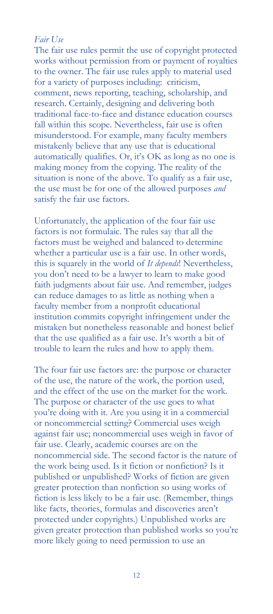#### *Fair Use*

The fair use rules permit the use of copyright protected works without permission from or payment of royalties to the owner. The fair use rules apply to material used for a variety of purposes including: criticism, comment, news reporting, teaching, scholarship, and research. Certainly, designing and delivering both traditional face-to-face and distance education courses fall within this scope. Nevertheless, fair use is often misunderstood. For example, many faculty members mistakenly believe that any use that is educational automatically qualifies. Or, it's OK as long as no one is making money from the copying. The reality of the situation is none of the above. To qualify as a fair use, the use must be for one of the allowed purposes *and* satisfy the fair use factors.

Unfortunately, the application of the four fair use factors is not formulaic. The rules say that all the factors must be weighed and balanced to determine whether a particular use is a fair use. In other words, this is squarely in the world of *It depends*! Nevertheless, you don't need to be a lawyer to learn to make good faith judgments about fair use. And remember, judges can reduce damages to as little as nothing when a faculty member from a nonprofit educational institution commits copyright infringement under the mistaken but nonetheless reasonable and honest belief that the use qualified as a fair use. It's worth a bit of trouble to learn the rules and how to apply them.

The four fair use factors are: the purpose or character of the use, the nature of the work, the portion used, and the effect of the use on the market for the work. The purpose or character of the use goes to what you're doing with it. Are you using it in a commercial or noncommercial setting? Commercial uses weigh against fair use; noncommercial uses weigh in favor of fair use. Clearly, academic courses are on the noncommercial side. The second factor is the nature of the work being used. Is it fiction or nonfiction? Is it published or unpublished? Works of fiction are given greater protection than nonfiction so using works of fiction is less likely to be a fair use. (Remember, things like facts, theories, formulas and discoveries aren't protected under copyrights.) Unpublished works are given greater protection than published works so you're more likely going to need permission to use an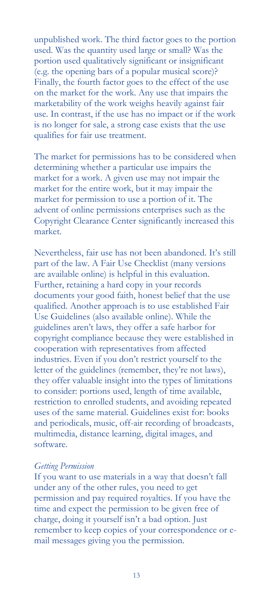unpublished work. The third factor goes to the portion used. Was the quantity used large or small? Was the portion used qualitatively significant or insignificant (e.g. the opening bars of a popular musical score)? Finally, the fourth factor goes to the effect of the use on the market for the work. Any use that impairs the marketability of the work weighs heavily against fair use. In contrast, if the use has no impact or if the work is no longer for sale, a strong case exists that the use qualifies for fair use treatment.

The market for permissions has to be considered when determining whether a particular use impairs the market for a work. A given use may not impair the market for the entire work, but it may impair the market for permission to use a portion of it. The advent of online permissions enterprises such as the Copyright Clearance Center significantly increased this market.

Nevertheless, fair use has not been abandoned. It's still part of the law. A Fair Use Checklist (many versions are available online) is helpful in this evaluation. Further, retaining a hard copy in your records documents your good faith, honest belief that the use qualified. Another approach is to use established Fair Use Guidelines (also available online). While the guidelines aren't laws, they offer a safe harbor for copyright compliance because they were established in cooperation with representatives from affected industries. Even if you don't restrict yourself to the letter of the guidelines (remember, they're not laws), they offer valuable insight into the types of limitations to consider: portions used, length of time available, restriction to enrolled students, and avoiding repeated uses of the same material. Guidelines exist for: books and periodicals, music, off-air recording of broadcasts, multimedia, distance learning, digital images, and software.

#### *Getting Permission*

If you want to use materials in a way that doesn't fall under any of the other rules, you need to get permission and pay required royalties. If you have the time and expect the permission to be given free of charge, doing it yourself isn't a bad option. Just remember to keep copies of your correspondence or email messages giving you the permission.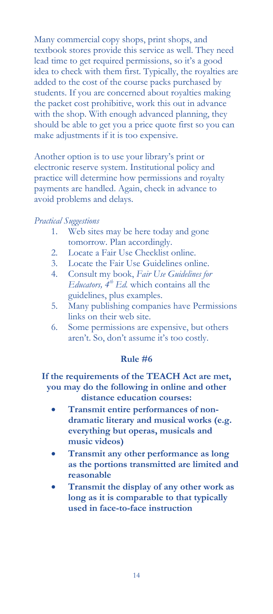Many commercial copy shops, print shops, and textbook stores provide this service as well. They need lead time to get required permissions, so it's a good idea to check with them first. Typically, the royalties are added to the cost of the course packs purchased by students. If you are concerned about royalties making the packet cost prohibitive, work this out in advance with the shop. With enough advanced planning, they should be able to get you a price quote first so you can make adjustments if it is too expensive.

Another option is to use your library's print or electronic reserve system. Institutional policy and practice will determine how permissions and royalty payments are handled. Again, check in advance to avoid problems and delays.

#### *Practical Suggestions*

- 1. Web sites may be here today and gone tomorrow. Plan accordingly.
- 2. Locate a Fair Use Checklist online.
- 3. Locate the Fair Use Guidelines online.
- 4. Consult my book, *Fair Use Guidelines for Educators, 4th Ed.* which contains all the guidelines, plus examples.
- 5. Many publishing companies have Permissions links on their web site.
- 6. Some permissions are expensive, but others aren't. So, don't assume it's too costly.

#### **Rule #6**

#### **If the requirements of the TEACH Act are met, you may do the following in online and other distance education courses:**

- **Transmit entire performances of nondramatic literary and musical works (e.g. everything but operas, musicals and music videos)**
- **Transmit any other performance as long as the portions transmitted are limited and reasonable**
- **Transmit the display of any other work as long as it is comparable to that typically used in face-to-face instruction**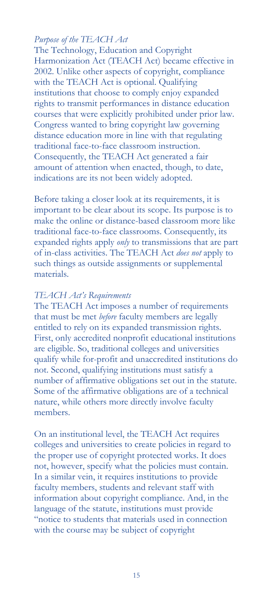#### *Purpose of the TEACH Act*

The Technology, Education and Copyright Harmonization Act (TEACH Act) became effective in 2002. Unlike other aspects of copyright, compliance with the TEACH Act is optional. Qualifying institutions that choose to comply enjoy expanded rights to transmit performances in distance education courses that were explicitly prohibited under prior law. Congress wanted to bring copyright law governing distance education more in line with that regulating traditional face-to-face classroom instruction. Consequently, the TEACH Act generated a fair amount of attention when enacted, though, to date, indications are its not been widely adopted.

Before taking a closer look at its requirements, it is important to be clear about its scope. Its purpose is to make the online or distance-based classroom more like traditional face-to-face classrooms. Consequently, its expanded rights apply *only* to transmissions that are part of in-class activities. The TEACH Act *does not* apply to such things as outside assignments or supplemental materials.

#### *TEACH Act's Requirements*

The TEACH Act imposes a number of requirements that must be met *before* faculty members are legally entitled to rely on its expanded transmission rights. First, only accredited nonprofit educational institutions are eligible. So, traditional colleges and universities qualify while for-profit and unaccredited institutions do not. Second, qualifying institutions must satisfy a number of affirmative obligations set out in the statute. Some of the affirmative obligations are of a technical nature, while others more directly involve faculty members.

On an institutional level, the TEACH Act requires colleges and universities to create policies in regard to the proper use of copyright protected works. It does not, however, specify what the policies must contain. In a similar vein, it requires institutions to provide faculty members, students and relevant staff with information about copyright compliance. And, in the language of the statute, institutions must provide "notice to students that materials used in connection with the course may be subject of copyright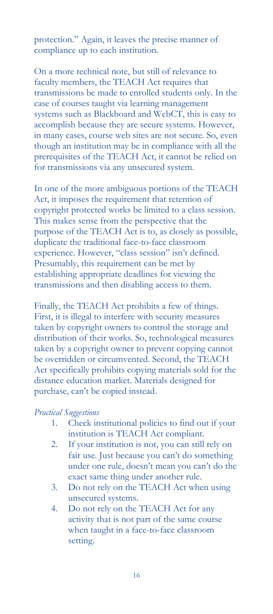protection." Again, it leaves the precise manner of compliance up to each institution.

On a more technical note, but still of relevance to faculty members, the TEACH Act requires that transmissions be made to enrolled students only. In the case of courses taught via learning management systems such as Blackboard and WebCT, this is easy to accomplish because they are secure systems. However, in many cases, course web sites are not secure. So, even though an institution may be in compliance with all the prerequisites of the TEACH Act, it cannot be relied on for transmissions via any unsecured system.

In one of the more ambiguous portions of the TEACH Act, it imposes the requirement that retention of copyright protected works be limited to a class session. This makes sense from the perspective that the purpose of the TEACH Act is to, as closely as possible, duplicate the traditional face-to-face classroom experience. However, "class session" isn't defined. Presumably, this requirement can be met by establishing appropriate deadlines for viewing the transmissions and then disabling access to them.

Finally, the TEACH Act prohibits a few of things. First, it is illegal to interfere with security measures taken by copyright owners to control the storage and distribution of their works. So, technological measures taken by a copyright owner to prevent copying cannot be overridden or circumvented. Second, the TEACH Act specifically prohibits copying materials sold for the distance education market. Materials designed for purchase, can't be copied instead.

#### *Practical Suggestions*

- 1. Check institutional policies to find out if your institution is TEACH Act compliant.
- 2. If your institution is not, you can still rely on fair use. Just because you can't do something under one rule, doesn't mean you can't do the exact same thing under another rule.
- 3. Do not rely on the TEACH Act when using unsecured systems.
- 4. Do not rely on the TEACH Act for any activity that is not part of the same course when taught in a face-to-face classroom setting.